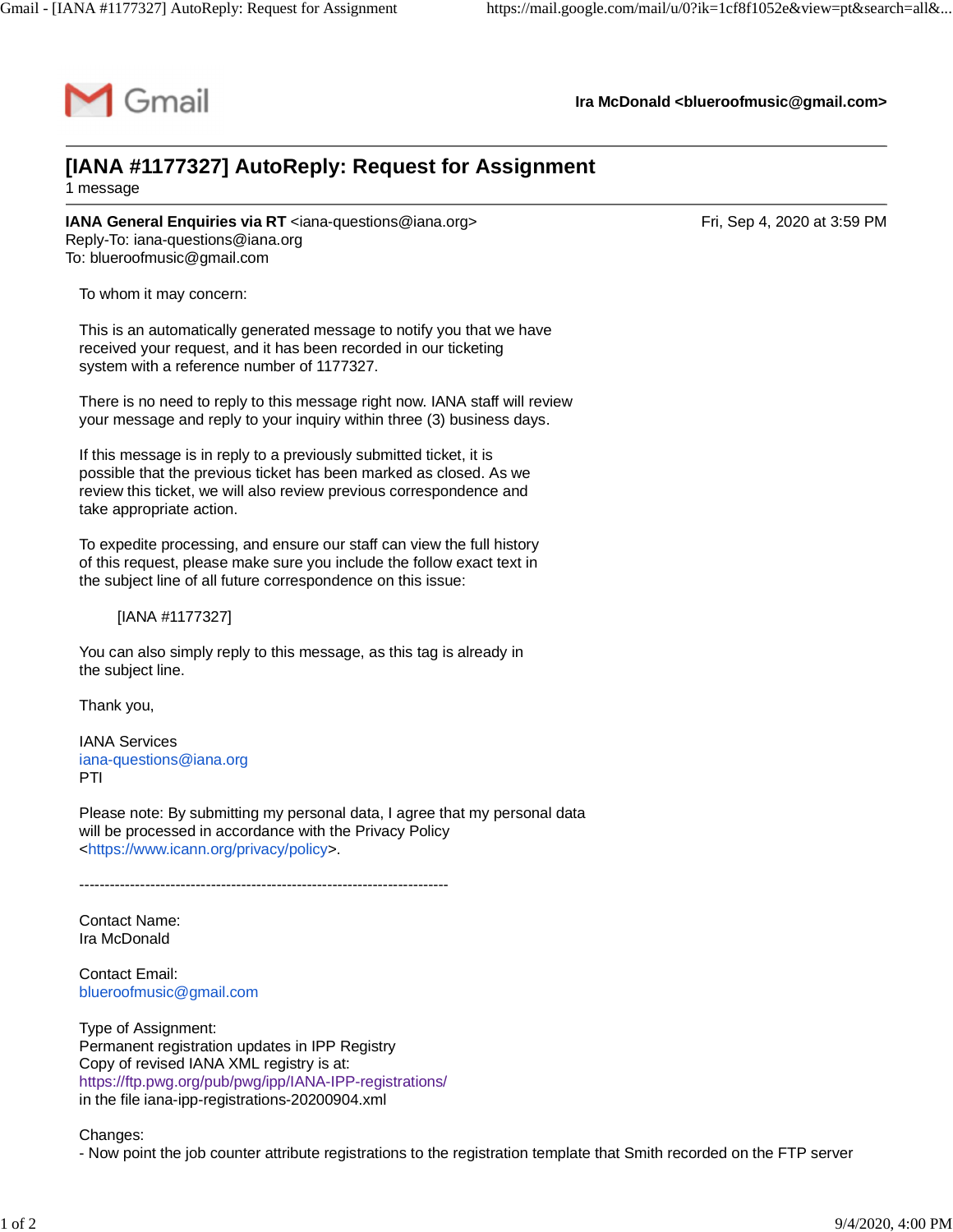

**Ira McDonald [<blueroofmusic@gmail.com](mailto:blueroofmusic@gmail.com)>**

## **[IANA #1177327] AutoReply: Request for Assignment** 1 message

**IANA General Enquiries via RT** [<iana-questions@iana.org>](mailto:iana-questions@iana.org) **Entity Act and Strutter Containers** Fri, Sep 4, 2020 at 3:59 PM Reply-To: [iana-questions@iana.org](mailto:iana-questions@iana.org) To: [blueroofmusic@gmail.com](mailto:blueroofmusic@gmail.com)

To whom it may concern:

This is an automatically generated message to notify you that we have received your request, and it has been recorded in our ticketing system with a reference number of 1177327.

There is no need to reply to this message right now. IANA staff will review your message and reply to your inquiry within three (3) business days.

If this message is in reply to a previously submitted ticket, it is possible that the previous ticket has been marked as closed. As we review this ticket, we will also review previous correspondence and take appropriate action.

To expedite processing, and ensure our staff can view the full history of this request, please make sure you include the follow exact text in the subject line of all future correspondence on this issue:

[IANA #1177327]

You can also simply reply to this message, as this tag is already in the subject line.

Thank you,

IANA Services [iana-questions@iana.org](mailto:iana-questions@iana.org) PTI

Please note: By submitting my personal data, I agree that my personal data will be processed in accordance with the Privacy Policy <[https://www.icann.org/privacy/policy>](https://www.icann.org/privacy/policy).

-------------------------------------------------------------------------

Contact Name: Ira McDonald

Contact Email: [blueroofmusic@gmail.com](mailto:blueroofmusic@gmail.com)

Type of Assignment: Permanent registration updates in IPP Registry Copy of revised IANA XML registry is at: <https://ftp.pwg.org/pub/pwg/ipp/IANA-IPP-registrations/> in the file iana-ipp-registrations-20200904.xml

Changes:

- Now point the job counter attribute registrations to the registration template that Smith recorded on the FTP server